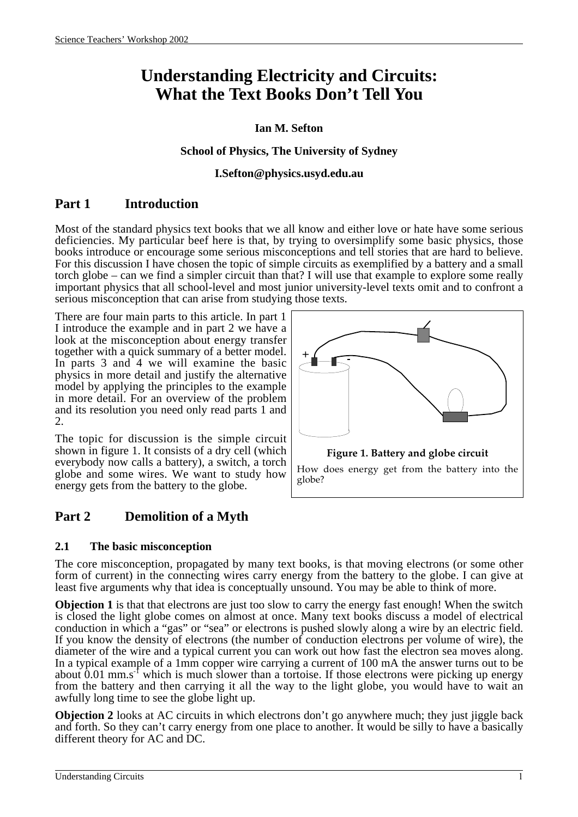# **Understanding Electricity and Circuits: What the Text Books Don't Tell You**

### **Ian M. Sefton**

#### **School of Physics, The University of Sydney**

#### **I.Sefton@physics.usyd.edu.au**

# **Part 1 Introduction**

Most of the standard physics text books that we all know and either love or hate have some serious deficiencies. My particular beef here is that, by trying to oversimplify some basic physics, those books introduce or encourage some serious misconceptions and tell stories that are hard to believe. For this discussion I have chosen the topic of simple circuits as exemplified by a battery and a small torch globe – can we find a simpler circuit than that? I will use that example to explore some really important physics that all school-level and most junior university-level texts omit and to confront a serious misconception that can arise from studying those texts.

There are four main parts to this article. In part 1 I introduce the example and in part 2 we have a look at the misconception about energy transfer together with a quick summary of a better model. In parts 3 and 4 we will examine the basic physics in more detail and justify the alternative model by applying the principles to the example in more detail. For an overview of the problem and its resolution you need only read parts 1 and 2.

The topic for discussion is the simple circuit shown in figure 1. It consists of a dry cell (which everybody now calls a battery), a switch, a torch globe and some wires. We want to study how energy gets from the battery to the globe.

# **Part 2 Demolition of a Myth**

#### **2.1 The basic misconception**

The core misconception, propagated by many text books, is that moving electrons (or some other form of current) in the connecting wires carry energy from the battery to the globe. I can give at least five arguments why that idea is conceptually unsound. You may be able to think of more.

**Objection 1** is that that electrons are just too slow to carry the energy fast enough! When the switch is closed the light globe comes on almost at once. Many text books discuss a model of electrical conduction in which a "gas" or "sea" or electrons is pushed slowly along a wire by an electric field. If you know the density of electrons (the number of conduction electrons per volume of wire), the diameter of the wire and a typical current you can work out how fast the electron sea moves along. In a typical example of a 1mm copper wire carrying a current of 100 mA the answer turns out to be about  $0.01$  mm.s<sup>-1</sup> which is much slower than a tortoise. If those electrons were picking up energy from the battery and then carrying it all the way to the light globe, you would have to wait an awfully long time to see the globe light up.

**Objection 2** looks at AC circuits in which electrons don't go anywhere much; they just jiggle back and forth. So they can't carry energy from one place to another. It would be silly to have a basically different theory for AC and DC.

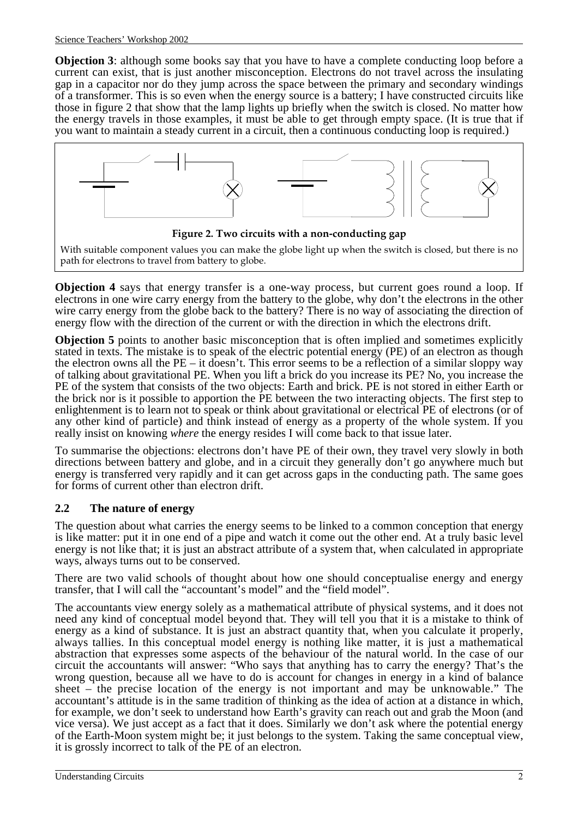**Objection 3**: although some books say that you have to have a complete conducting loop before a current can exist, that is just another misconception. Electrons do not travel across the insulating gap in a capacitor nor do they jump across the space between the primary and secondary windings of a transformer. This is so even when the energy source is a battery; I have constructed circuits like those in figure 2 that show that the lamp lights up briefly when the switch is closed. No matter how the energy travels in those examples, it must be able to get through empty space. (It is true that if you want to maintain a steady current in a circuit, then a continuous conducting loop is required.)



**Objection 4** says that energy transfer is a one-way process, but current goes round a loop. If electrons in one wire carry energy from the battery to the globe, why don't the electrons in the other wire carry energy from the globe back to the battery? There is no way of associating the direction of energy flow with the direction of the current or with the direction in which the electrons drift.

**Objection 5** points to another basic misconception that is often implied and sometimes explicitly stated in texts. The mistake is to speak of the electric potential energy (PE) of an electron as though the electron owns all the PE – it doesn't. This error seems to be a reflection of a similar sloppy way of talking about gravitational PE. When you lift a brick do you increase its PE? No, you increase the PE of the system that consists of the two objects: Earth and brick. PE is not stored in either Earth or the brick nor is it possible to apportion the PE between the two interacting objects. The first step to enlightenment is to learn not to speak or think about gravitational or electrical PE of electrons (or of any other kind of particle) and think instead of energy as a property of the whole system. If you really insist on knowing *where* the energy resides I will come back to that issue later.

To summarise the objections: electrons don't have PE of their own, they travel very slowly in both directions between battery and globe, and in a circuit they generally don't go anywhere much but energy is transferred very rapidly and it can get across gaps in the conducting path. The same goes for forms of current other than electron drift.

# **2.2 The nature of energy**

The question about what carries the energy seems to be linked to a common conception that energy is like matter: put it in one end of a pipe and watch it come out the other end. At a truly basic level energy is not like that; it is just an abstract attribute of a system that, when calculated in appropriate ways, always turns out to be conserved.

There are two valid schools of thought about how one should conceptualise energy and energy transfer, that I will call the "accountant's model" and the "field model".

The accountants view energy solely as a mathematical attribute of physical systems, and it does not need any kind of conceptual model beyond that. They will tell you that it is a mistake to think of energy as a kind of substance. It is just an abstract quantity that, when you calculate it properly, always tallies. In this conceptual model energy is nothing like matter, it is just a mathematical abstraction that expresses some aspects of the behaviour of the natural world. In the case of our circuit the accountants will answer: "Who says that anything has to carry the energy? That's the wrong question, because all we have to do is account for changes in energy in a kind of balance sheet – the precise location of the energy is not important and may be unknowable." The accountant's attitude is in the same tradition of thinking as the idea of action at a distance in which, for example, we don't seek to understand how Earth's gravity can reach out and grab the Moon (and vice versa). We just accept as a fact that it does. Similarly we don't ask where the potential energy of the Earth-Moon system might be; it just belongs to the system. Taking the same conceptual view, it is grossly incorrect to talk of the PE of an electron.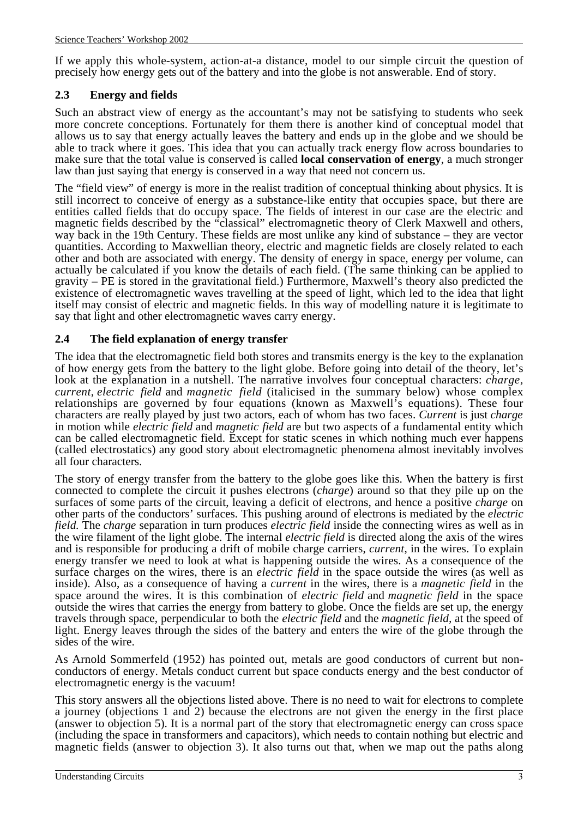If we apply this whole-system, action-at-a distance, model to our simple circuit the question of precisely how energy gets out of the battery and into the globe is not answerable. End of story.

#### **2.3 Energy and fields**

Such an abstract view of energy as the accountant's may not be satisfying to students who seek more concrete conceptions. Fortunately for them there is another kind of conceptual model that allows us to say that energy actually leaves the battery and ends up in the globe and we should be able to track where it goes. This idea that you can actually track energy flow across boundaries to make sure that the total value is conserved is called **local conservation of energy**, a much stronger law than just saying that energy is conserved in a way that need not concern us.

The "field view" of energy is more in the realist tradition of conceptual thinking about physics. It is still incorrect to conceive of energy as a substance-like entity that occupies space, but there are entities called fields that do occupy space. The fields of interest in our case are the electric and magnetic fields described by the "classical" electromagnetic theory of Clerk Maxwell and others, way back in the 19th Century. These fields are most unlike any kind of substance – they are vector quantities. According to Maxwellian theory, electric and magnetic fields are closely related to each other and both are associated with energy. The density of energy in space, energy per volume, can actually be calculated if you know the details of each field. (The same thinking can be applied to gravity – PE is stored in the gravitational field.) Furthermore, Maxwell's theory also predicted the existence of electromagnetic waves travelling at the speed of light, which led to the idea that light itself may consist of electric and magnetic fields. In this way of modelling nature it is legitimate to say that light and other electromagnetic waves carry energy.

### **2.4 The field explanation of energy transfer**

The idea that the electromagnetic field both stores and transmits energy is the key to the explanation of how energy gets from the battery to the light globe. Before going into detail of the theory, let's look at the explanation in a nutshell. The narrative involves four conceptual characters: *charge, current*, *electric field* and *magnetic field* (italicised in the summary below) whose complex relationships are governed by four equations (known as Maxwell's equations). These four characters are really played by just two actors, each of whom has two faces. *Current* is just *charge* in motion while *electric field* and *magnetic field* are but two aspects of a fundamental entity which can be called electromagnetic field. Except for static scenes in which nothing much ever happens (called electrostatics) any good story about electromagnetic phenomena almost inevitably involves all four characters.

The story of energy transfer from the battery to the globe goes like this. When the battery is first connected to complete the circuit it pushes electrons (*charge*) around so that they pile up on the surfaces of some parts of the circuit, leaving a deficit of electrons, and hence a positive *charge* on other parts of the conductors' surfaces. This pushing around of electrons is mediated by the *electric field.* The *charge* separation in turn produces *electric field* inside the connecting wires as well as in the wire filament of the light globe. The internal *electric field* is directed along the axis of the wires and is responsible for producing a drift of mobile charge carriers, *current*, in the wires. To explain energy transfer we need to look at what is happening outside the wires. As a consequence of the surface charges on the wires, there is an *electric field* in the space outside the wires (as well as inside). Also, as a consequence of having a *current* in the wires, there is a *magnetic field* in the space around the wires. It is this combination of *electric field* and *magnetic field* in the space outside the wires that carries the energy from battery to globe. Once the fields are set up, the energy travels through space, perpendicular to both the *electric field* and the *magnetic field,* at the speed of light. Energy leaves through the sides of the battery and enters the wire of the globe through the sides of the wire.

As Arnold Sommerfeld (1952) has pointed out, metals are good conductors of current but nonconductors of energy. Metals conduct current but space conducts energy and the best conductor of electromagnetic energy is the vacuum!

This story answers all the objections listed above. There is no need to wait for electrons to complete a journey (objections 1 and 2) because the electrons are not given the energy in the first place (answer to objection 5). It is a normal part of the story that electromagnetic energy can cross space (including the space in transformers and capacitors), which needs to contain nothing but electric and magnetic fields (answer to objection 3). It also turns out that, when we map out the paths along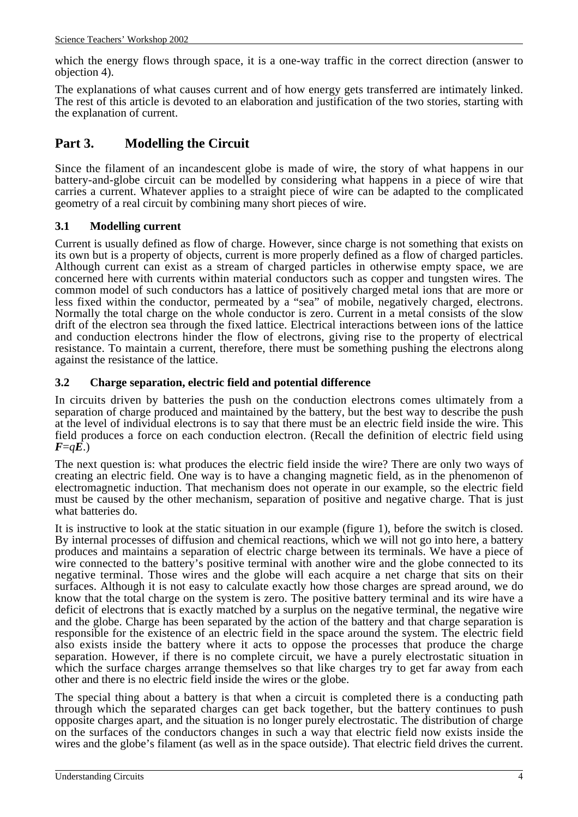which the energy flows through space, it is a one-way traffic in the correct direction (answer to objection 4).

The explanations of what causes current and of how energy gets transferred are intimately linked. The rest of this article is devoted to an elaboration and justification of the two stories, starting with the explanation of current.

# **Part 3. Modelling the Circuit**

Since the filament of an incandescent globe is made of wire, the story of what happens in our battery-and-globe circuit can be modelled by considering what happens in a piece of wire that carries a current. Whatever applies to a straight piece of wire can be adapted to the complicated geometry of a real circuit by combining many short pieces of wire.

### **3.1 Modelling current**

Current is usually defined as flow of charge. However, since charge is not something that exists on its own but is a property of objects, current is more properly defined as a flow of charged particles. Although current can exist as a stream of charged particles in otherwise empty space, we are concerned here with currents within material conductors such as copper and tungsten wires. The common model of such conductors has a lattice of positively charged metal ions that are more or less fixed within the conductor, permeated by a "sea" of mobile, negatively charged, electrons. Normally the total charge on the whole conductor is zero. Current in a metal consists of the slow drift of the electron sea through the fixed lattice. Electrical interactions between ions of the lattice and conduction electrons hinder the flow of electrons, giving rise to the property of electrical resistance. To maintain a current, therefore, there must be something pushing the electrons along against the resistance of the lattice.

### **3.2 Charge separation, electric field and potential difference**

In circuits driven by batteries the push on the conduction electrons comes ultimately from a separation of charge produced and maintained by the battery, but the best way to describe the push at the level of individual electrons is to say that there must be an electric field inside the wire. This field produces a force on each conduction electron. (Recall the definition of electric field using  $F = qE$ .)

The next question is: what produces the electric field inside the wire? There are only two ways of creating an electric field. One way is to have a changing magnetic field, as in the phenomenon of electromagnetic induction. That mechanism does not operate in our example, so the electric field must be caused by the other mechanism, separation of positive and negative charge. That is just what batteries do.

It is instructive to look at the static situation in our example (figure 1), before the switch is closed. By internal processes of diffusion and chemical reactions, which we will not go into here, a battery produces and maintains a separation of electric charge between its terminals. We have a piece of wire connected to the battery's positive terminal with another wire and the globe connected to its negative terminal. Those wires and the globe will each acquire a net charge that sits on their surfaces. Although it is not easy to calculate exactly how those charges are spread around, we do know that the total charge on the system is zero. The positive battery terminal and its wire have a deficit of electrons that is exactly matched by a surplus on the negative terminal, the negative wire and the globe. Charge has been separated by the action of the battery and that charge separation is responsible for the existence of an electric field in the space around the system. The electric field also exists inside the battery where it acts to oppose the processes that produce the charge separation. However, if there is no complete circuit, we have a purely electrostatic situation in which the surface charges arrange themselves so that like charges try to get far away from each other and there is no electric field inside the wires or the globe.

The special thing about a battery is that when a circuit is completed there is a conducting path through which the separated charges can get back together, but the battery continues to push opposite charges apart, and the situation is no longer purely electrostatic. The distribution of charge on the surfaces of the conductors changes in such a way that electric field now exists inside the wires and the globe's filament (as well as in the space outside). That electric field drives the current.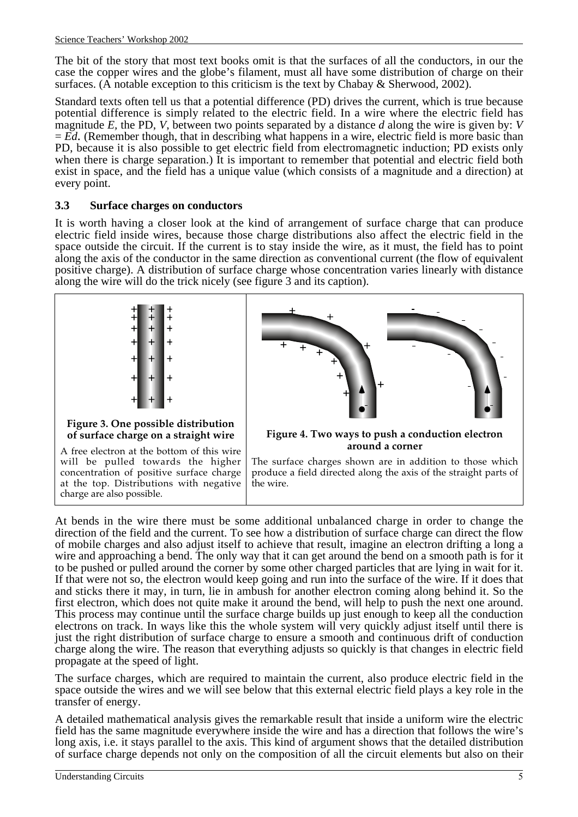The bit of the story that most text books omit is that the surfaces of all the conductors, in our the case the copper wires and the globe's filament, must all have some distribution of charge on their surfaces. (A notable exception to this criticism is the text by Chabay & Sherwood, 2002).

Standard texts often tell us that a potential difference (PD) drives the current, which is true because potential difference is simply related to the electric field. In a wire where the electric field has magnitude *E,* the PD, *V*, between two points separated by a distance *d* along the wire is given by: *V*  $=$   $\vec{E}d$ . (Remember though, that in describing what happens in a wire, electric field is more basic than PD, because it is also possible to get electric field from electromagnetic induction; PD exists only when there is charge separation.) It is important to remember that potential and electric field both exist in space, and the field has a unique value (which consists of a magnitude and a direction) at every point.

#### **3.3 Surface charges on conductors**

It is worth having a closer look at the kind of arrangement of surface charge that can produce electric field inside wires, because those charge distributions also affect the electric field in the space outside the circuit. If the current is to stay inside the wire, as it must, the field has to point along the axis of the conductor in the same direction as conventional current (the flow of equivalent positive charge). A distribution of surface charge whose concentration varies linearly with distance along the wire will do the trick nicely (see figure 3 and its caption).



will be pulled towards the higher concentration of positive surface charge at the top. Distributions with negative charge are also possible.



At bends in the wire there must be some additional unbalanced charge in order to change the direction of the field and the current. To see how a distribution of surface charge can direct the flow of mobile charges and also adjust itself to achieve that result, imagine an electron drifting a long a wire and approaching a bend. The only way that it can get around the bend on a smooth path is for it to be pushed or pulled around the corner by some other charged particles that are lying in wait for it. If that were not so, the electron would keep going and run into the surface of the wire. If it does that and sticks there it may, in turn, lie in ambush for another electron coming along behind it. So the first electron, which does not quite make it around the bend, will help to push the next one around. This process may continue until the surface charge builds up just enough to keep all the conduction electrons on track. In ways like this the whole system will very quickly adjust itself until there is just the right distribution of surface charge to ensure a smooth and continuous drift of conduction charge along the wire. The reason that everything adjusts so quickly is that changes in electric field propagate at the speed of light.

The surface charges, which are required to maintain the current, also produce electric field in the space outside the wires and we will see below that this external electric field plays a key role in the transfer of energy.

A detailed mathematical analysis gives the remarkable result that inside a uniform wire the electric field has the same magnitude everywhere inside the wire and has a direction that follows the wire's long axis, i.e. it stays parallel to the axis. This kind of argument shows that the detailed distribution of surface charge depends not only on the composition of all the circuit elements but also on their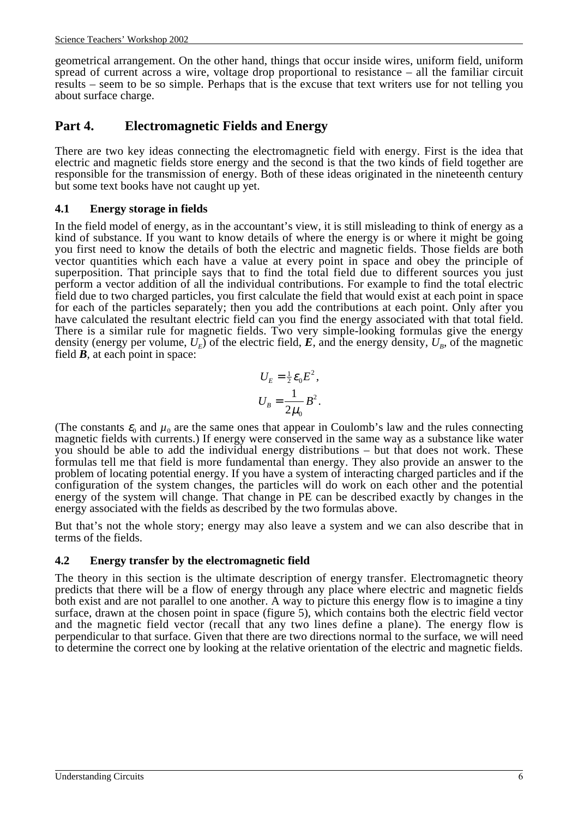geometrical arrangement. On the other hand, things that occur inside wires, uniform field, uniform spread of current across a wire, voltage drop proportional to resistance – all the familiar circuit results – seem to be so simple. Perhaps that is the excuse that text writers use for not telling you about surface charge.

# **Part 4. Electromagnetic Fields and Energy**

There are two key ideas connecting the electromagnetic field with energy. First is the idea that electric and magnetic fields store energy and the second is that the two kinds of field together are responsible for the transmission of energy. Both of these ideas originated in the nineteenth century but some text books have not caught up yet.

#### **4.1 Energy storage in fields**

In the field model of energy, as in the accountant's view, it is still misleading to think of energy as a kind of substance. If you want to know details of where the energy is or where it might be going you first need to know the details of both the electric and magnetic fields. Those fields are both vector quantities which each have a value at every point in space and obey the principle of superposition. That principle says that to find the total field due to different sources you just perform a vector addition of all the individual contributions. For example to find the total electric field due to two charged particles, you first calculate the field that would exist at each point in space for each of the particles separately; then you add the contributions at each point. Only after you have calculated the resultant electric field can you find the energy associated with that total field. There is a similar rule for magnetic fields. Two very simple-looking formulas give the energy density (energy per volume,  $U_F$ ) of the electric field,  $\vec{E}$ , and the energy density,  $U_B$ , of the magnetic field *B*, at each point in space:

$$
U_E = \frac{1}{2} \varepsilon_0 E^2,
$$
  

$$
U_B = \frac{1}{2\mu_0} B^2.
$$

(The constants  $\varepsilon_0$  and  $\mu_0$  are the same ones that appear in Coulomb's law and the rules connecting magnetic fields with currents.) If energy were conserved in the same way as a substance like water you should be able to add the individual energy distributions – but that does not work. These formulas tell me that field is more fundamental than energy. They also provide an answer to the problem of locating potential energy. If you have a system of interacting charged particles and if the configuration of the system changes, the particles will do work on each other and the potential energy of the system will change. That change in PE can be described exactly by changes in the energy associated with the fields as described by the two formulas above.

But that's not the whole story; energy may also leave a system and we can also describe that in terms of the fields.

#### **4.2 Energy transfer by the electromagnetic field**

The theory in this section is the ultimate description of energy transfer. Electromagnetic theory predicts that there will be a flow of energy through any place where electric and magnetic fields both exist and are not parallel to one another. A way to picture this energy flow is to imagine a tiny surface, drawn at the chosen point in space (figure 5), which contains both the electric field vector and the magnetic field vector (recall that any two lines define a plane). The energy flow is perpendicular to that surface. Given that there are two directions normal to the surface, we will need to determine the correct one by looking at the relative orientation of the electric and magnetic fields.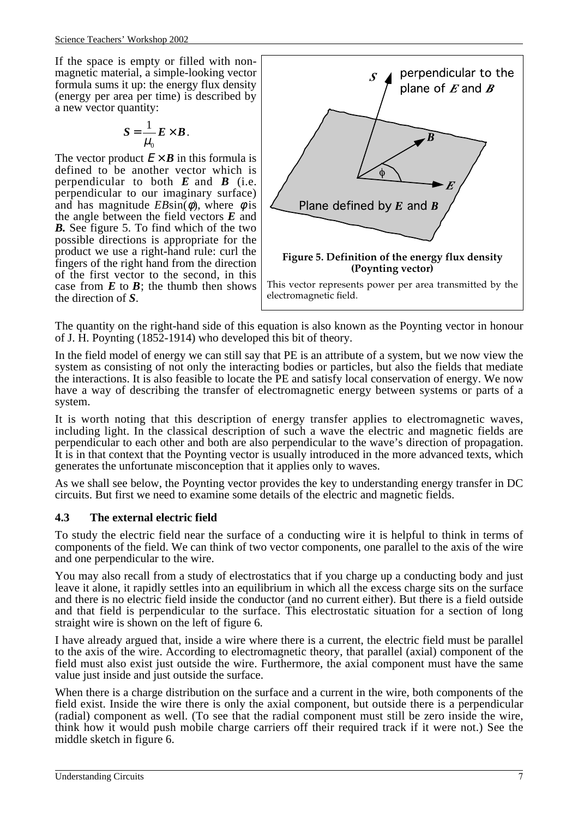If the space is empty or filled with nonmagnetic material, a simple-looking vector formula sums it up: the energy flux density (energy per area per time) is described by a new vector quantity:

$$
S=\frac{1}{\mu_0}\boldsymbol{E}\times\boldsymbol{B}.
$$

The vector product  $E \times B$  in this formula is defined to be another vector which is perpendicular to both *E* and *B* (i.e. perpendicular to our imaginary surface) and has magnitude  $EB\sin(\phi)$ , where  $\phi$  is the angle between the field vectors *E* and *B.* See figure 5. To find which of the two possible directions is appropriate for the product we use a right-hand rule: curl the fingers of the right hand from the direction of the first vector to the second, in this case from  $E$  to  $B$ ; the thumb then shows the direction of *S*.



The quantity on the right-hand side of this equation is also known as the Poynting vector in honour of J. H. Poynting (1852-1914) who developed this bit of theory.

In the field model of energy we can still say that PE is an attribute of a system, but we now view the system as consisting of not only the interacting bodies or particles, but also the fields that mediate the interactions. It is also feasible to locate the PE and satisfy local conservation of energy. We now have a way of describing the transfer of electromagnetic energy between systems or parts of a system.

It is worth noting that this description of energy transfer applies to electromagnetic waves, including light. In the classical description of such a wave the electric and magnetic fields are perpendicular to each other and both are also perpendicular to the wave's direction of propagation. It is in that context that the Poynting vector is usually introduced in the more advanced texts, which generates the unfortunate misconception that it applies only to waves.

As we shall see below, the Poynting vector provides the key to understanding energy transfer in DC circuits. But first we need to examine some details of the electric and magnetic fields.

# **4.3 The external electric field**

To study the electric field near the surface of a conducting wire it is helpful to think in terms of components of the field. We can think of two vector components, one parallel to the axis of the wire and one perpendicular to the wire.

You may also recall from a study of electrostatics that if you charge up a conducting body and just leave it alone, it rapidly settles into an equilibrium in which all the excess charge sits on the surface and there is no electric field inside the conductor (and no current either). But there is a field outside and that field is perpendicular to the surface. This electrostatic situation for a section of long straight wire is shown on the left of figure 6.

I have already argued that, inside a wire where there is a current, the electric field must be parallel to the axis of the wire. According to electromagnetic theory, that parallel (axial) component of the field must also exist just outside the wire. Furthermore, the axial component must have the same value just inside and just outside the surface.

When there is a charge distribution on the surface and a current in the wire, both components of the field exist. Inside the wire there is only the axial component, but outside there is a perpendicular (radial) component as well. (To see that the radial component must still be zero inside the wire, think how it would push mobile charge carriers off their required track if it were not.) See the middle sketch in figure 6.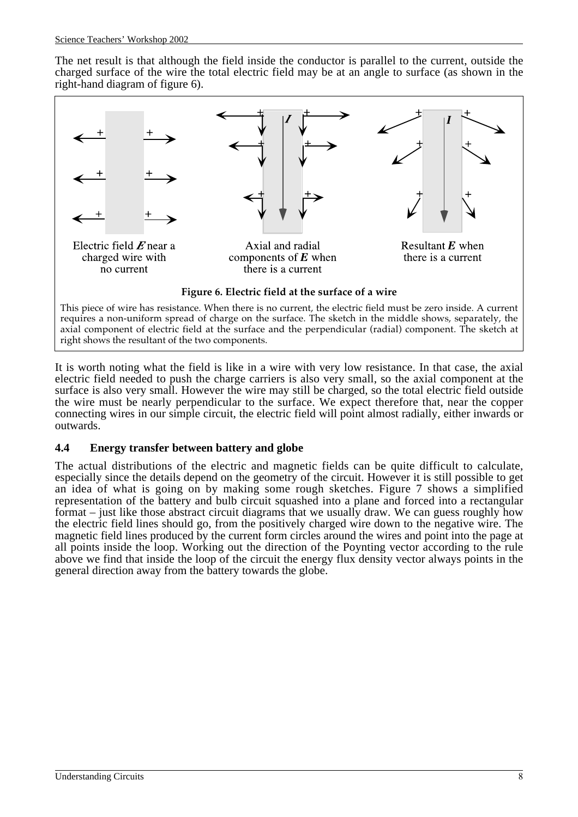The net result is that although the field inside the conductor is parallel to the current, outside the charged surface of the wire the total electric field may be at an angle to surface (as shown in the right-hand diagram of figure 6).



It is worth noting what the field is like in a wire with very low resistance. In that case, the axial electric field needed to push the charge carriers is also very small, so the axial component at the surface is also very small. However the wire may still be charged, so the total electric field outside the wire must be nearly perpendicular to the surface. We expect therefore that, near the copper connecting wires in our simple circuit, the electric field will point almost radially, either inwards or

#### **4.4 Energy transfer between battery and globe**

The actual distributions of the electric and magnetic fields can be quite difficult to calculate, especially since the details depend on the geometry of the circuit. However it is still possible to get an idea of what is going on by making some rough sketches. Figure 7 shows a simplified representation of the battery and bulb circuit squashed into a plane and forced into a rectangular format – just like those abstract circuit diagrams that we usually draw. We can guess roughly how the electric field lines should go, from the positively charged wire down to the negative wire. The magnetic field lines produced by the current form circles around the wires and point into the page at all points inside the loop. Working out the direction of the Poynting vector according to the rule above we find that inside the loop of the circuit the energy flux density vector always points in the general direction away from the battery towards the globe.

outwards.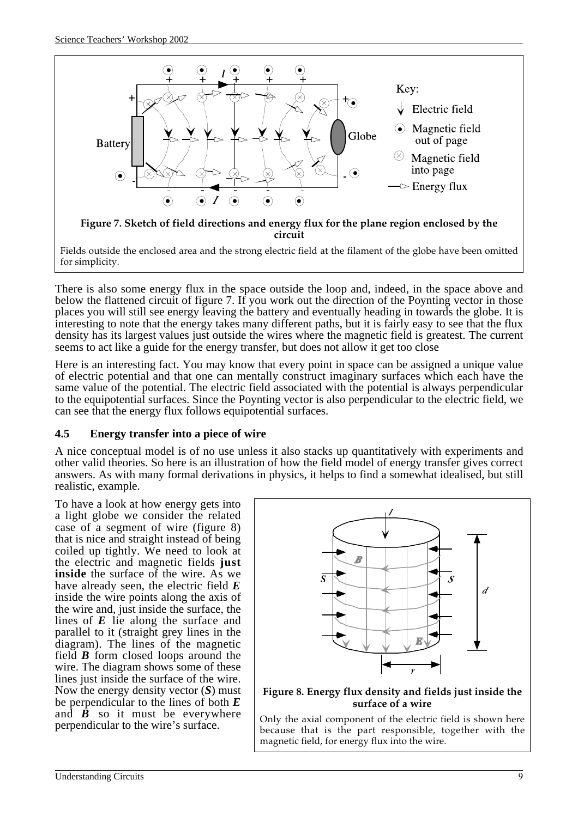

There is also some energy flux in the space outside the loop and, indeed, in the space above and below the flattened circuit of figure 7. If you work out the direction of the Poynting vector in those places you will still see energy leaving the battery and eventually heading in towards the globe. It is interesting to note that the energy takes many different paths, but it is fairly easy to see that the flux density has its largest values just outside the wires where the magnetic field is greatest. The current seems to act like a guide for the energy transfer, but does not allow it get too close

Here is an interesting fact. You may know that every point in space can be assigned a unique value of electric potential and that one can mentally construct imaginary surfaces which each have the same value of the potential. The electric field associated with the potential is always perpendicular to the equipotential surfaces. Since the Poynting vector is also perpendicular to the electric field, we can see that the energy flux follows equipotential surfaces.

#### **4.5 Energy transfer into a piece of wire**

A nice conceptual model is of no use unless it also stacks up quantitatively with experiments and other valid theories. So here is an illustration of how the field model of energy transfer gives correct answers. As with many formal derivations in physics, it helps to find a somewhat idealised, but still realistic, example.

To have a look at how energy gets into a light globe we consider the related case of a segment of wire (figure 8) that is nice and straight instead of being coiled up tightly. We need to look at the electric and magnetic fields **just inside** the surface of the wire. As we have already seen, the electric field *E* inside the wire points along the axis of the wire and, just inside the surface, the lines of *E* lie along the surface and parallel to it (straight grey lines in the diagram). The lines of the magnetic field *B* form closed loops around the wire. The diagram shows some of these lines just inside the surface of the wire. Now the energy density vector (*S*) must be perpendicular to the lines of both *E* and  $\vec{B}$  so it must be everywhere perpendicular to the wire's surface.



#### **Figure 8. Energy flux density and fields just inside the surface of a wire**

Only the axial component of the electric field is shown here because that is the part responsible, together with the magnetic field, for energy flux into the wire.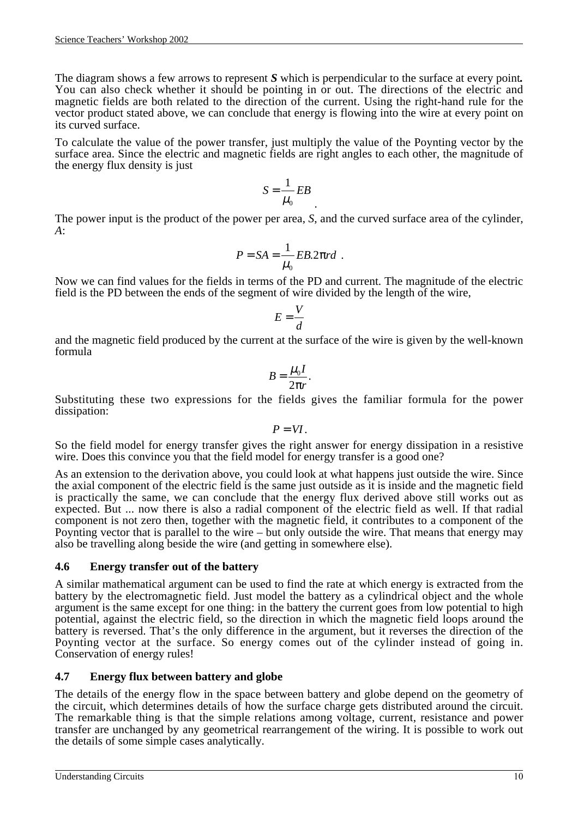The diagram shows a few arrows to represent *S* which is perpendicular to the surface at every point*.* You can also check whether it should be pointing in or out. The directions of the electric and magnetic fields are both related to the direction of the current. Using the right-hand rule for the vector product stated above, we can conclude that energy is flowing into the wire at every point on its curved surface.

To calculate the value of the power transfer, just multiply the value of the Poynting vector by the surface area. Since the electric and magnetic fields are right angles to each other, the magnitude of the energy flux density is just

$$
S = \frac{1}{\mu_0} EB
$$

The power input is the product of the power per area, *S*, and the curved surface area of the cylinder, *A*:

$$
P = SA = \frac{1}{\mu_0} EB. 2\pi rd.
$$

Now we can find values for the fields in terms of the PD and current. The magnitude of the electric field is the PD between the ends of the segment of wire divided by the length of the wire,

$$
E = \frac{V}{d}
$$

and the magnetic field produced by the current at the surface of the wire is given by the well-known formula

$$
B=\frac{\mu_0 I}{2\pi r}.
$$

Substituting these two expressions for the fields gives the familiar formula for the power dissipation:

$$
P=VI.
$$

So the field model for energy transfer gives the right answer for energy dissipation in a resistive wire. Does this convince you that the field model for energy transfer is a good one?

As an extension to the derivation above, you could look at what happens just outside the wire. Since the axial component of the electric field is the same just outside as it is inside and the magnetic field is practically the same, we can conclude that the energy flux derived above still works out as expected. But ... now there is also a radial component of the electric field as well. If that radial component is not zero then, together with the magnetic field, it contributes to a component of the Poynting vector that is parallel to the wire – but only outside the wire. That means that energy may also be travelling along beside the wire (and getting in somewhere else).

#### **4.6 Energy transfer out of the battery**

A similar mathematical argument can be used to find the rate at which energy is extracted from the battery by the electromagnetic field. Just model the battery as a cylindrical object and the whole argument is the same except for one thing: in the battery the current goes from low potential to high potential, against the electric field, so the direction in which the magnetic field loops around the battery is reversed. That's the only difference in the argument, but it reverses the direction of the Poynting vector at the surface. So energy comes out of the cylinder instead of going in. Conservation of energy rules!

#### **4.7 Energy flux between battery and globe**

The details of the energy flow in the space between battery and globe depend on the geometry of the circuit, which determines details of how the surface charge gets distributed around the circuit. The remarkable thing is that the simple relations among voltage, current, resistance and power transfer are unchanged by any geometrical rearrangement of the wiring. It is possible to work out the details of some simple cases analytically.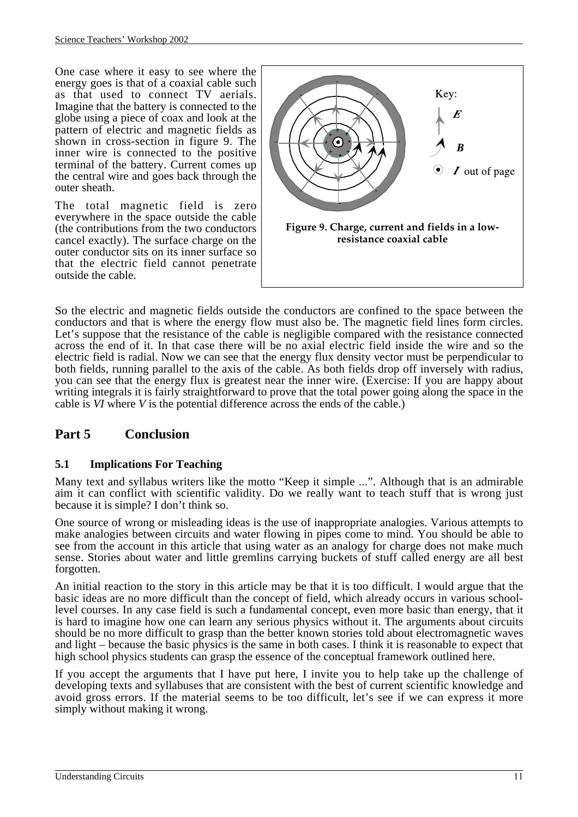One case where it easy to see where the energy goes is that of a coaxial cable such as that used to connect TV aerials. Imagine that the battery is connected to the globe using a piece of coax and look at the pattern of electric and magnetic fields as shown in cross-section in figure 9. The inner wire is connected to the positive terminal of the battery. Current comes up the central wire and goes back through the outer sheath.

The total magnetic field is zero everywhere in the space outside the cable (the contributions from the two conductors cancel exactly). The surface charge on the outer conductor sits on its inner surface so that the electric field cannot penetrate outside the cable.



So the electric and magnetic fields outside the conductors are confined to the space between the conductors and that is where the energy flow must also be. The magnetic field lines form circles. Let's suppose that the resistance of the cable is negligible compared with the resistance connected across the end of it. In that case there will be no axial electric field inside the wire and so the electric field is radial. Now we can see that the energy flux density vector must be perpendicular to both fields, running parallel to the axis of the cable. As both fields drop off inversely with radius, you can see that the energy flux is greatest near the inner wire. (Exercise: If you are happy about writing integrals it is fairly straightforward to prove that the total power going along the space in the cable is *VI* where *V* is the potential difference across the ends of the cable.)

# **Part 5 Conclusion**

# **5.1 Implications For Teaching**

Many text and syllabus writers like the motto "Keep it simple ...". Although that is an admirable aim it can conflict with scientific validity. Do we really want to teach stuff that is wrong just because it is simple? I don't think so.

One source of wrong or misleading ideas is the use of inappropriate analogies. Various attempts to make analogies between circuits and water flowing in pipes come to mind. You should be able to see from the account in this article that using water as an analogy for charge does not make much sense. Stories about water and little gremlins carrying buckets of stuff called energy are all best forgotten.

An initial reaction to the story in this article may be that it is too difficult. I would argue that the basic ideas are no more difficult than the concept of field, which already occurs in various schoollevel courses. In any case field is such a fundamental concept, even more basic than energy, that it is hard to imagine how one can learn any serious physics without it. The arguments about circuits should be no more difficult to grasp than the better known stories told about electromagnetic waves and light – because the basic physics is the same in both cases. I think it is reasonable to expect that high school physics students can grasp the essence of the conceptual framework outlined here.

If you accept the arguments that I have put here, I invite you to help take up the challenge of developing texts and syllabuses that are consistent with the best of current scientific knowledge and avoid gross errors. If the material seems to be too difficult, let's see if we can express it more simply without making it wrong.